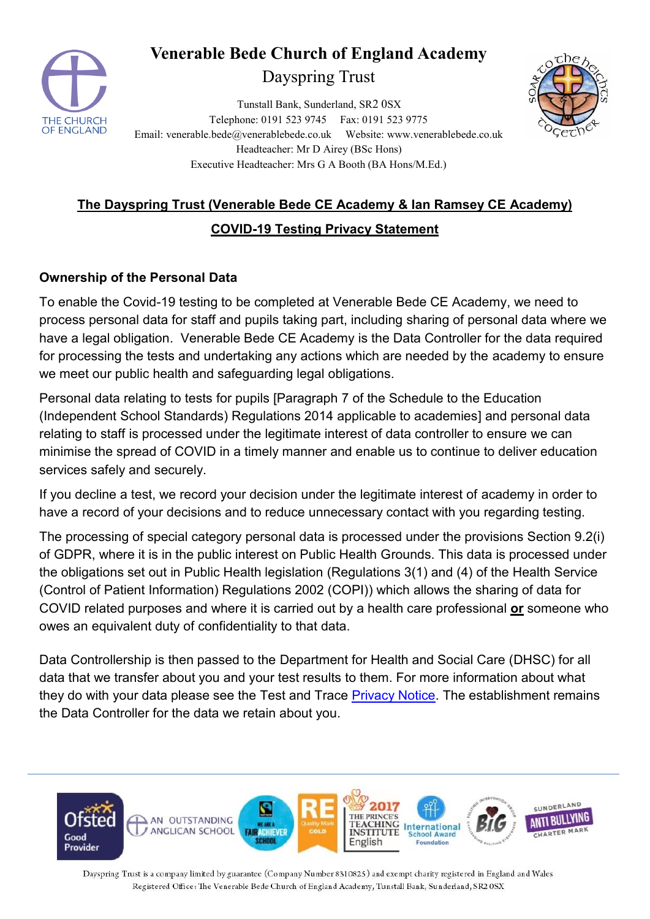

# **Venerable Bede Church of England Academy**

## Dayspring Trust

Tunstall Bank, Sunderland, SR2 0SX Telephone: 0191 523 9745 Fax: 0191 523 9775 Email: venerable.bede@venerablebede.co.uk Website: www.venerablebede.co.uk Headteacher: Mr D Airey (BSc Hons) Executive Headteacher: Mrs G A Booth (BA Hons/M.Ed.)



## **The Dayspring Trust (Venerable Bede CE Academy & Ian Ramsey CE Academy)**

## **COVID-19 Testing Privacy Statement**

#### **Ownership of the Personal Data**

To enable the Covid-19 testing to be completed at Venerable Bede CE Academy, we need to process personal data for staff and pupils taking part, including sharing of personal data where we have a legal obligation. Venerable Bede CE Academy is the Data Controller for the data required for processing the tests and undertaking any actions which are needed by the academy to ensure we meet our public health and safeguarding legal obligations.

Personal data relating to tests for pupils [Paragraph 7 of the Schedule to the Education (Independent School Standards) Regulations 2014 applicable to academies] and personal data relating to staff is processed under the legitimate interest of data controller to ensure we can minimise the spread of COVID in a timely manner and enable us to continue to deliver education services safely and securely.

If you decline a test, we record your decision under the legitimate interest of academy in order to have a record of your decisions and to reduce unnecessary contact with you regarding testing.

The processing of special category personal data is processed under the provisions Section 9.2(i) of GDPR, where it is in the public interest on Public Health Grounds. This data is processed under the obligations set out in Public Health legislation (Regulations 3(1) and (4) of the Health Service (Control of Patient Information) Regulations 2002 (COPI)) which allows the sharing of data for COVID related purposes and where it is carried out by a health care professional **or** someone who owes an equivalent duty of confidentiality to that data.

Data Controllership is then passed to the Department for Health and Social Care (DHSC) for all data that we transfer about you and your test results to them. For more information about what they do with your data please see the Test and Trace **Privacy Notice**. The establishment remains the Data Controller for the data we retain about you.



Dayspring Trust is a company limited by guarantee (Company Number 8310825) and exempt charity registered in England and Wales Registered Office: The Venerable Bede Church of England Academy, Tunstall Bank, Sunderland, SR2 0SX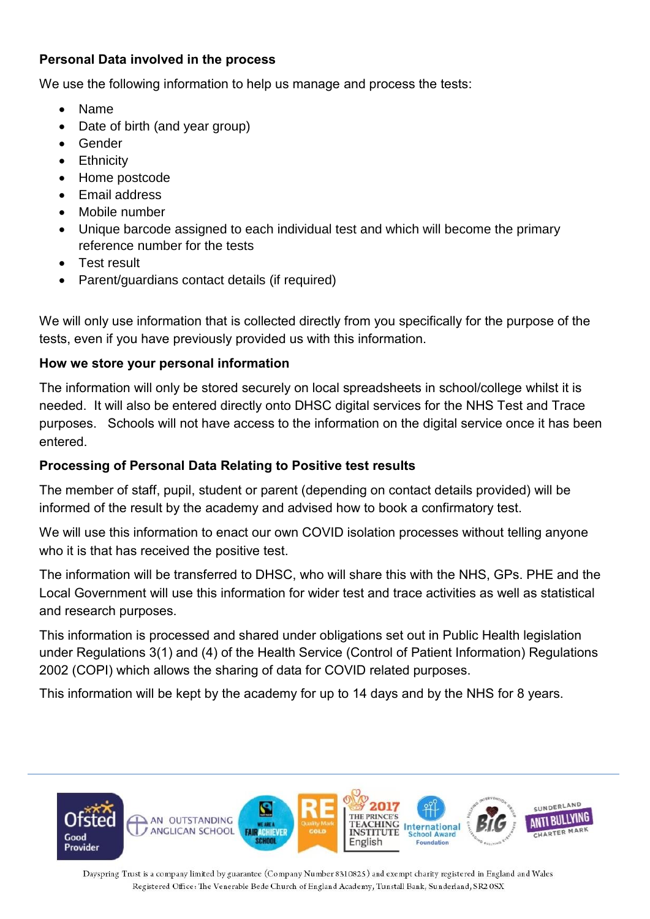### **Personal Data involved in the process**

We use the following information to help us manage and process the tests:

- Name
- Date of birth (and year group)
- Gender
- Ethnicity
- Home postcode
- Email address
- Mobile number
- Unique barcode assigned to each individual test and which will become the primary reference number for the tests
- Test result
- Parent/guardians contact details (if required)

We will only use information that is collected directly from you specifically for the purpose of the tests, even if you have previously provided us with this information.

#### **How we store your personal information**

The information will only be stored securely on local spreadsheets in school/college whilst it is needed. It will also be entered directly onto DHSC digital services for the NHS Test and Trace purposes. Schools will not have access to the information on the digital service once it has been entered.

#### **Processing of Personal Data Relating to Positive test results**

The member of staff, pupil, student or parent (depending on contact details provided) will be informed of the result by the academy and advised how to book a confirmatory test.

We will use this information to enact our own COVID isolation processes without telling anyone who it is that has received the positive test.

The information will be transferred to DHSC, who will share this with the NHS, GPs. PHE and the Local Government will use this information for wider test and trace activities as well as statistical and research purposes.

This information is processed and shared under obligations set out in Public Health legislation under Regulations 3(1) and (4) of the Health Service (Control of Patient Information) Regulations 2002 (COPI) which allows the sharing of data for COVID related purposes.

This information will be kept by the academy for up to 14 days and by the NHS for 8 years.



Dayspring Trust is a company limited by guarantee (Company Number 8310825) and exempt charity registered in England and Wales Registered Office: The Venerable Bede Church of England Academy, Tunstall Bank, Sunderland, SR2 0SX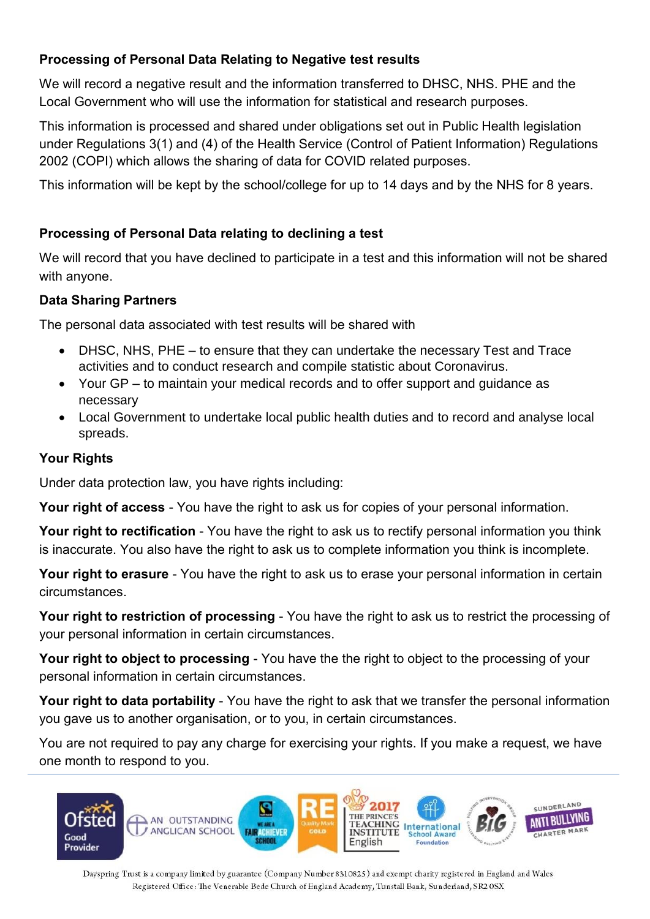## **Processing of Personal Data Relating to Negative test results**

We will record a negative result and the information transferred to DHSC, NHS. PHE and the Local Government who will use the information for statistical and research purposes.

This information is processed and shared under obligations set out in Public Health legislation under Regulations 3(1) and (4) of the Health Service (Control of Patient Information) Regulations 2002 (COPI) which allows the sharing of data for COVID related purposes.

This information will be kept by the school/college for up to 14 days and by the NHS for 8 years.

## **Processing of Personal Data relating to declining a test**

We will record that you have declined to participate in a test and this information will not be shared with anyone.

## **Data Sharing Partners**

The personal data associated with test results will be shared with

- DHSC, NHS, PHE to ensure that they can undertake the necessary Test and Trace activities and to conduct research and compile statistic about Coronavirus.
- Your GP to maintain your medical records and to offer support and guidance as necessary
- Local Government to undertake local public health duties and to record and analyse local spreads.

## **Your Rights**

Under data protection law, you have rights including:

**Your right of access** - You have the right to ask us for copies of your personal information.

**Your right to rectification** - You have the right to ask us to rectify personal information you think is inaccurate. You also have the right to ask us to complete information you think is incomplete.

**Your right to erasure** - You have the right to ask us to erase your personal information in certain circumstances.

**Your right to restriction of processing** - You have the right to ask us to restrict the processing of your personal information in certain circumstances.

**Your right to object to processing** - You have the the right to object to the processing of your personal information in certain circumstances.

**Your right to data portability** - You have the right to ask that we transfer the personal information you gave us to another organisation, or to you, in certain circumstances.

You are not required to pay any charge for exercising your rights. If you make a request, we have one month to respond to you.



Dayspring Trust is a company limited by guarantee (Company Number 8310825) and exempt charity registered in England and Wales Registered Office: The Venerable Bede Church of England Academy, Tunstall Bank, Sunderland, SR2 OSX